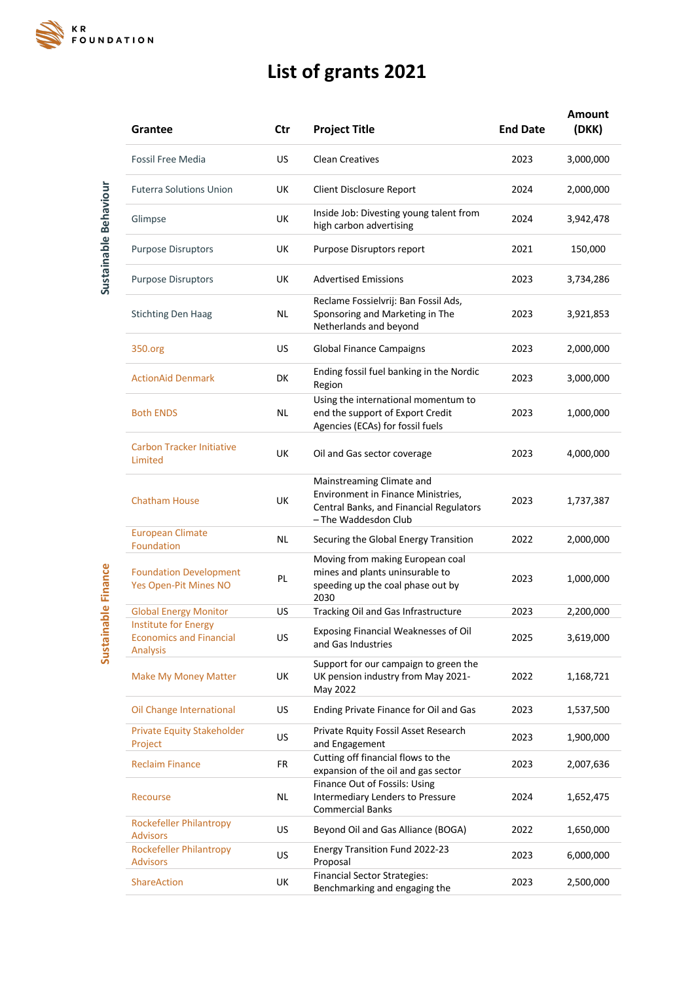

## **List of grants 2021**

**Amount** 

| Grantee                                                                   | Ctr       | <b>Project Title</b>                                                                                                               | <b>End Date</b> | (DKK)     |
|---------------------------------------------------------------------------|-----------|------------------------------------------------------------------------------------------------------------------------------------|-----------------|-----------|
| Fossil Free Media                                                         | US        | <b>Clean Creatives</b>                                                                                                             | 2023            | 3,000,000 |
| <b>Futerra Solutions Union</b>                                            | UK        | Client Disclosure Report                                                                                                           | 2024            | 2,000,000 |
| Glimpse                                                                   | UK        | Inside Job: Divesting young talent from<br>high carbon advertising                                                                 | 2024            | 3,942,478 |
| <b>Purpose Disruptors</b>                                                 | UK        | Purpose Disruptors report                                                                                                          | 2021            | 150,000   |
| <b>Purpose Disruptors</b>                                                 | UK        | <b>Advertised Emissions</b>                                                                                                        | 2023            | 3,734,286 |
| <b>Stichting Den Haag</b>                                                 | NL        | Reclame Fossielvrij: Ban Fossil Ads,<br>Sponsoring and Marketing in The<br>Netherlands and beyond                                  | 2023            | 3,921,853 |
| 350.org                                                                   | US        | <b>Global Finance Campaigns</b>                                                                                                    | 2023            | 2,000,000 |
| <b>ActionAid Denmark</b>                                                  | DK        | Ending fossil fuel banking in the Nordic<br>Region                                                                                 | 2023            | 3,000,000 |
| <b>Both ENDS</b>                                                          | NL        | Using the international momentum to<br>end the support of Export Credit<br>Agencies (ECAs) for fossil fuels                        | 2023            | 1,000,000 |
| <b>Carbon Tracker Initiative</b><br>Limited                               | UK        | Oil and Gas sector coverage                                                                                                        | 2023            | 4,000,000 |
| <b>Chatham House</b>                                                      | UK        | Mainstreaming Climate and<br>Environment in Finance Ministries,<br>Central Banks, and Financial Regulators<br>- The Waddesdon Club | 2023            | 1,737,387 |
| <b>European Climate</b><br>Foundation                                     | NL        | Securing the Global Energy Transition                                                                                              | 2022            | 2,000,000 |
| <b>Foundation Development</b><br><b>Yes Open-Pit Mines NO</b>             | PL        | Moving from making European coal<br>mines and plants uninsurable to<br>speeding up the coal phase out by<br>2030                   | 2023            | 1,000,000 |
| <b>Global Energy Monitor</b>                                              | <b>US</b> | Tracking Oil and Gas Infrastructure                                                                                                | 2023            | 2,200,000 |
| <b>Institute for Energy</b><br><b>Economics and Financial</b><br>Analysis | <b>US</b> | Exposing Financial Weaknesses of Oil<br>and Gas Industries                                                                         | 2025            | 3,619,000 |
| Make My Money Matter                                                      | UK        | Support for our campaign to green the<br>UK pension industry from May 2021-<br>May 2022                                            | 2022            | 1,168,721 |
| Oil Change International                                                  | <b>US</b> | Ending Private Finance for Oil and Gas                                                                                             | 2023            | 1,537,500 |
| <b>Private Equity Stakeholder</b><br>Project                              | <b>US</b> | Private Rquity Fossil Asset Research<br>and Engagement                                                                             | 2023            | 1,900,000 |
| <b>Reclaim Finance</b>                                                    | FR        | Cutting off financial flows to the<br>expansion of the oil and gas sector                                                          | 2023            | 2,007,636 |
| Recourse                                                                  | NL        | Finance Out of Fossils: Using<br>Intermediary Lenders to Pressure<br><b>Commercial Banks</b>                                       | 2024            | 1,652,475 |
| <b>Rockefeller Philantropy</b><br><b>Advisors</b>                         | <b>US</b> | Beyond Oil and Gas Alliance (BOGA)                                                                                                 | 2022            | 1,650,000 |
| <b>Rockefeller Philantropy</b><br><b>Advisors</b>                         | <b>US</b> | Energy Transition Fund 2022-23<br>Proposal                                                                                         | 2023            | 6,000,000 |
| <b>ShareAction</b>                                                        | UK        | <b>Financial Sector Strategies:</b><br>Benchmarking and engaging the                                                               | 2023            | 2,500,000 |
|                                                                           |           |                                                                                                                                    |                 |           |